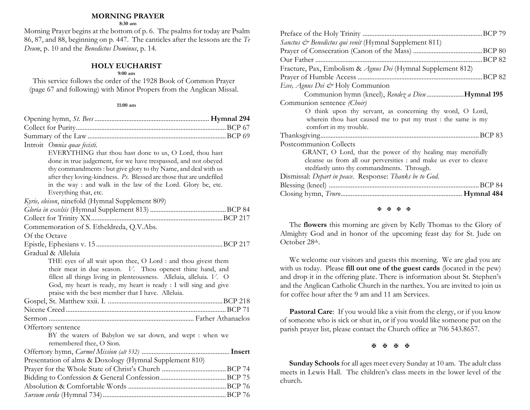#### **MORNING PRAYER**

**8:30 am**

Morning Prayer begins at the bottom of p. 6. The psalms for today are Psalm 86, 87, and 88, beginning on p. 447. The canticles after the lessons are the *Te Deum*, p. 10 and the *Benedictus Dominus*, p. 14.

## **HOLY EUCHARIST**

#### **9:00 am**

This service follows the order of the 1928 Book of Common Prayer (page 67 and following) with Minor Propers from the Anglican Missal.

#### **11:00 am**

| Introit Omnia quae fecisti.                                          |  |
|----------------------------------------------------------------------|--|
| EVERYTHING that thou hast done to us, O Lord, thou hast              |  |
| done in true judgement, for we have trespassed, and not obeyed       |  |
| thy commandments: but give glory to thy Name, and deal with us       |  |
| after they loving-kindness. Ps. Blessed are those that are undefiled |  |
| in the way : and walk in the law of the Lord. Glory be, etc.         |  |
| Everything that, etc.                                                |  |
| Kyrie, eleison, ninefold (Hymnal Supplement 809)                     |  |
|                                                                      |  |
|                                                                      |  |
| Commemoration of S. Etheldreda, Q.V.Abs.                             |  |
| Of the Octave                                                        |  |
|                                                                      |  |
| Gradual & Alleluia                                                   |  |
| THE eyes of all wait upon thee, O Lord : and thou givest them        |  |
| their meat in due season. V. Thou openest thine hand, and            |  |
| fillest all things living in plenteousness. Alleluia, alleluia. V. O |  |
| God, my heart is ready, my heart is ready : I will sing and give     |  |
| praise with the best member that I have. Alleluia.                   |  |
|                                                                      |  |
|                                                                      |  |
|                                                                      |  |
| Offertory sentence                                                   |  |
| BY the waters of Babylon we sat down, and wept : when we             |  |
| remembered thee, O Sion.                                             |  |
|                                                                      |  |
| Presentation of alms & Doxology (Hymnal Supplement 810)              |  |
|                                                                      |  |
|                                                                      |  |
|                                                                      |  |
|                                                                      |  |

| .BCP 79                                                           |
|-------------------------------------------------------------------|
| Sanctus & Benedictus qui venit (Hymnal Supplement 811)            |
|                                                                   |
| .BCP 82<br>Our Father                                             |
| Fracture, Pax, Embolism & Agnus Dei (Hymnal Supplement 812)       |
|                                                                   |
| Ecee, Agnus Dei & Holy Communion                                  |
| Communion hymn (kneel), Rendez a Dieu Hymnal 195                  |
| Communion sentence (Choir)                                        |
| O think upon thy servant, as concerning thy word, O Lord,         |
| wherein thou hast caused me to put my trust : the same is my      |
| comfort in my trouble.                                            |
|                                                                   |
| Postcommunion Collects                                            |
| GRANT, O Lord, that the power of thy healing may mercifully       |
| cleanse us from all our perversities : and make us ever to cleave |
| stedfastly unto thy commandments. Through.                        |
| Dismissal: Depart in peace. Response: Thanks be to God.           |
|                                                                   |
|                                                                   |
|                                                                   |

#### **K K K K**

The **flowers** this morning are given by Kelly Thomas to the Glory of Almighty God and in honor of the upcoming feast day for St. Jude on October 28th.

We welcome our visitors and guests this morning. We are glad you are with us today. Please **fill out one of the guest cards** (located in the pew) and drop it in the offering plate. There is information about St. Stephen's and the Anglican Catholic Church in the narthex. You are invited to join us for coffee hour after the 9 am and 11 am Services.

**Pastoral Care:** If you would like a visit from the clergy, or if you know of someone who is sick or shut in, or if you would like someone put on the parish prayer list, please contact the Church office at 706 543.8657.

### 医困困困

**Sunday Schools** for all ages meet every Sunday at 10 am. The adult class meets in Lewis Hall. The children's class meets in the lower level of the church.